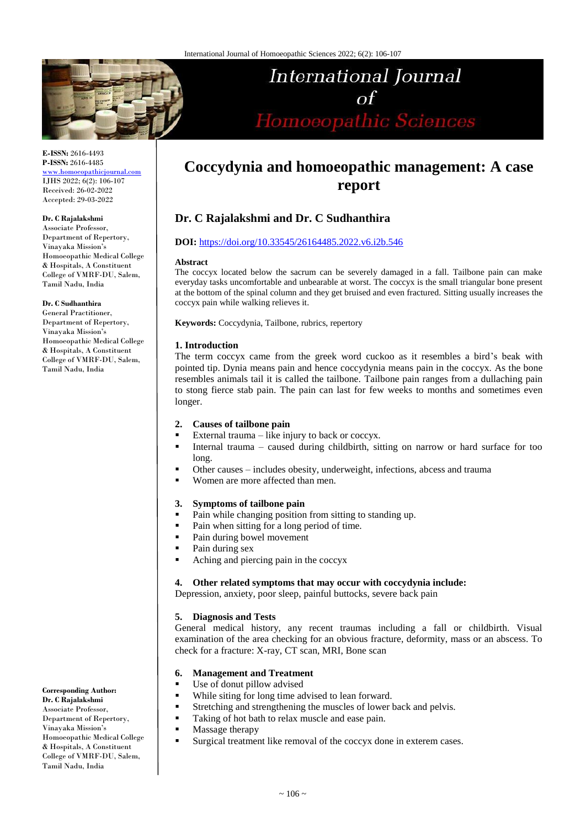

**International Journal**  $\Omega$ Homoeopathic Sciences

**E-ISSN:** 2616-4493 **P-ISSN:** 2616-4485 [www.homoeopathicjournal.com](file://Server/test/homoeopathicjournal/issue/vol%204/issue%201/www.homoeopathicjournal.com)

IJHS 2022; 6(2): 106-107 Received: 26-02-2022 Accepted: 29-03-2022

#### **Dr. C Rajalakshmi**

Associate Professor, Department of Repertory, Vinayaka Mission's Homoeopathic Medical College & Hospitals, A Constituent College of VMRF-DU, Salem, Tamil Nadu, India

**Dr. C Sudhanthira**

General Practitioner, Department of Repertory, Vinayaka Mission's Homoeopathic Medical College & Hospitals, A Constituent College of VMRF-DU, Salem, Tamil Nadu, India

**Coccydynia and homoeopathic management: A case report**

# **Dr. C Rajalakshmi and Dr. C Sudhanthira**

## **DOI:** <https://doi.org/10.33545/26164485.2022.v6.i2b.546>

#### **Abstract**

The coccyx located below the sacrum can be severely damaged in a fall. Tailbone pain can make everyday tasks uncomfortable and unbearable at worst. The coccyx is the small triangular bone present at the bottom of the spinal column and they get bruised and even fractured. Sitting usually increases the coccyx pain while walking relieves it.

**Keywords:** Coccydynia, Tailbone, rubrics, repertory

## **1. Introduction**

The term coccyx came from the greek word cuckoo as it resembles a bird's beak with pointed tip. Dynia means pain and hence coccydynia means pain in the coccyx. As the bone resembles animals tail it is called the tailbone. Tailbone pain ranges from a dullaching pain to stong fierce stab pain. The pain can last for few weeks to months and sometimes even longer.

## **2. Causes of tailbone pain**

- External trauma like injury to back or coccyx.
- Internal trauma caused during childbirth, sitting on narrow or hard surface for too long.
- Other causes includes obesity, underweight, infections, abcess and trauma
- Women are more affected than men.

## **3. Symptoms of tailbone pain**

- **Pain while changing position from sitting to standing up.**
- Pain when sitting for a long period of time.
- Pain during bowel movement
- Pain during sex
- Aching and piercing pain in the coccyx

**4. Other related symptoms that may occur with coccydynia include:**

Depression, anxiety, poor sleep, painful buttocks, severe back pain

## **5. Diagnosis and Tests**

General medical history, any recent traumas including a fall or childbirth. Visual examination of the area checking for an obvious fracture, deformity, mass or an abscess. To check for a fracture: X-ray, CT scan, MRI, Bone scan

# **6. Management and Treatment**

- Use of donut pillow advised
- While siting for long time advised to lean forward.
- Stretching and strengthening the muscles of lower back and pelvis.
- Taking of hot bath to relax muscle and ease pain.
- **Massage therapy**
- Surgical treatment like removal of the coccyx done in exterem cases.

**Corresponding Author: Dr. C Rajalakshmi** Associate Professor, Department of Repertory, Vinayaka Mission's Homoeopathic Medical College & Hospitals, A Constituent College of VMRF-DU, Salem, Tamil Nadu, India